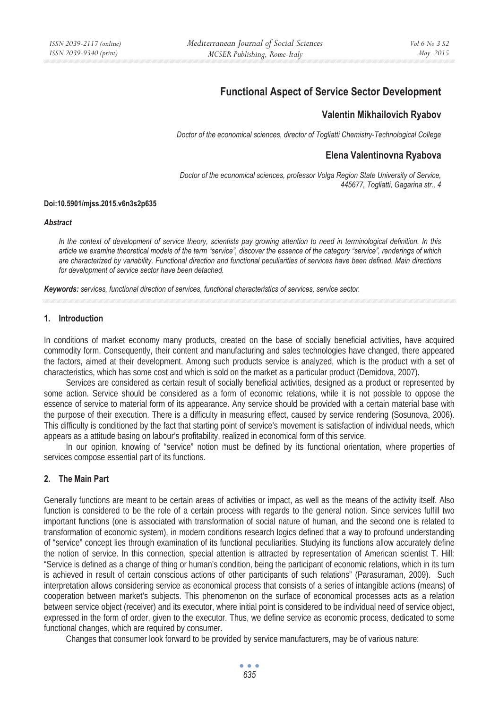# **Functional Aspect of Service Sector Development**

# **Valentin Mikhailovich Ryabov**

*Doctor of the economical sciences, director of Togliatti Chemistry-Technological College* 

## **Elena Valentinovna Ryabova**

*Doctor of the economical sciences, professor Volga Region State University of Service, 445677, Togliatti, Gagarina str., 4* 

#### **Doi:10.5901/mjss.2015.v6n3s2p635**

#### *Abstract*

*In the context of development of service theory, scientists pay growing attention to need in terminological definition. In this article we examine theoretical models of the term "service", discover the essence of the category "service", renderings of which are characterized by variability. Functional direction and functional peculiarities of services have been defined. Main directions for development of service sector have been detached.* 

*Keywords: services, functional direction of services, functional characteristics of services, service sector.* 

### **1. Introduction**

In conditions of market economy many products, created on the base of socially beneficial activities, have acquired commodity form. Consequently, their content and manufacturing and sales technologies have changed, there appeared the factors, aimed at their development. Among such products service is analyzed, which is the product with a set of characteristics, which has some cost and which is sold on the market as a particular product (Demidova, 2007).

Services are considered as certain result of socially beneficial activities, designed as a product or represented by some action. Service should be considered as a form of economic relations, while it is not possible to oppose the essence of service to material form of its appearance. Any service should be provided with a certain material base with the purpose of their execution. There is a difficulty in measuring effect, caused by service rendering (Sosunova, 2006). This difficulty is conditioned by the fact that starting point of service's movement is satisfaction of individual needs, which appears as a attitude basing on labour's profitability, realized in economical form of this service.

In our opinion, knowing of "service" notion must be defined by its functional orientation, where properties of services compose essential part of its functions.

### **2. The Main Part**

Generally functions are meant to be certain areas of activities or impact, as well as the means of the activity itself. Also function is considered to be the role of a certain process with regards to the general notion. Since services fulfill two important functions (one is associated with transformation of social nature of human, and the second one is related to transformation of economic system), in modern conditions research logics defined that a way to profound understanding of "service" concept lies through examination of its functional peculiarities. Studying its functions allow accurately define the notion of service. In this connection, special attention is attracted by representation of American scientist T. Hill: "Service is defined as a change of thing or human's condition, being the participant of economic relations, which in its turn is achieved in result of certain conscious actions of other participants of such relations" (Parasuraman, 2009). Such interpretation allows considering service as economical process that consists of a series of intangible actions (means) of cooperation between market's subjects. This phenomenon on the surface of economical processes acts as a relation between service object (receiver) and its executor, where initial point is considered to be individual need of service object, expressed in the form of order, given to the executor. Thus, we define service as economic process, dedicated to some functional changes, which are required by consumer.

Changes that consumer look forward to be provided by service manufacturers, may be of various nature: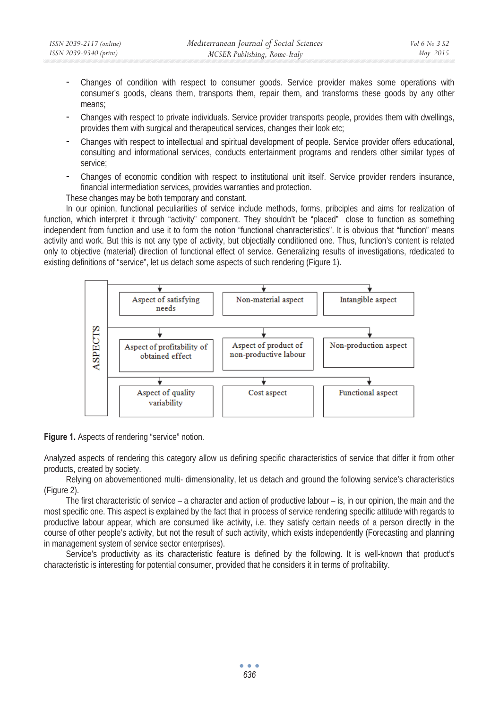- Changes of condition with respect to consumer goods. Service provider makes some operations with consumer's goods, cleans them, transports them, repair them, and transforms these goods by any other means;
- Changes with respect to private individuals. Service provider transports people, provides them with dwellings, provides them with surgical and therapeutical services, changes their look etc;
- Changes with respect to intellectual and spiritual development of people. Service provider offers educational, consulting and informational services, conducts entertainment programs and renders other similar types of service;
- Changes of economic condition with respect to institutional unit itself. Service provider renders insurance, financial intermediation services, provides warranties and protection.

These changes may be both temporary and constant.

In our opinion, functional peculiarities of service include methods, forms, pribciples and aims for realization of function, which interpret it through "activity" component. They shouldn't be "placed" close to function as something independent from function and use it to form the notion "functional chanracteristics". It is obvious that "function" means activity and work. But this is not any type of activity, but objectially conditioned one. Thus, function's content is related only to objective (material) direction of functional effect of service. Generalizing results of investigations, rdedicated to existing definitions of "service", let us detach some aspects of such rendering (Figure 1).



Figure 1. Aspects of rendering "service" notion.

Analyzed aspects of rendering this category allow us defining specific characteristics of service that differ it from other products, created by society.

Relying on abovementioned multi- dimensionality, let us detach and ground the following service's characteristics (Figure 2).

The first characteristic of service – a character and action of productive labour – is, in our opinion, the main and the most specific one. This aspect is explained by the fact that in process of service rendering specific attitude with regards to productive labour appear, which are consumed like activity, i.e. they satisfy certain needs of a person directly in the course of other people's activity, but not the result of such activity, which exists independently (Forecasting and planning in management system of service sector enterprises).

Service's productivity as its characteristic feature is defined by the following. It is well-known that product's characteristic is interesting for potential consumer, provided that he considers it in terms of profitability.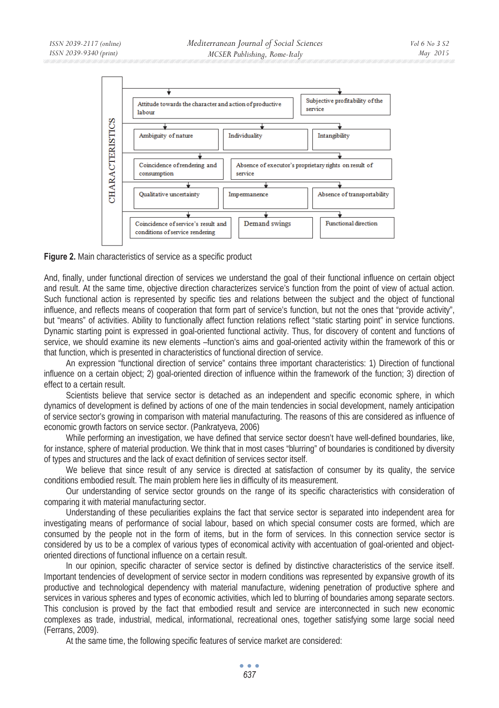

**Figure 2.** Main characteristics of service as a specific product

And, finally, under functional direction of services we understand the goal of their functional influence on certain object and result. At the same time, objective direction characterizes service's function from the point of view of actual action. Such functional action is represented by specific ties and relations between the subject and the object of functional influence, and reflects means of cooperation that form part of service's function, but not the ones that "provide activity", but "means" of activities. Ability to functionally affect function relations reflect "static starting point" in service functions. Dynamic starting point is expressed in goal-oriented functional activity. Thus, for discovery of content and functions of service, we should examine its new elements –function's aims and goal-oriented activity within the framework of this or that function, which is presented in characteristics of functional direction of service.

An expression "functional direction of service" contains three important characteristics: 1) Direction of functional influence on a certain object; 2) goal-oriented direction of influence within the framework of the function; 3) direction of effect to a certain result.

Scientists believe that service sector is detached as an independent and specific economic sphere, in which dynamics of development is defined by actions of one of the main tendencies in social development, namely anticipation of service sector's growing in comparison with material manufacturing. The reasons of this are considered as influence of economic growth factors on service sector. (Pankratyeva, 2006)

While performing an investigation, we have defined that service sector doesn't have well-defined boundaries, like, for instance, sphere of material production. We think that in most cases "blurring" of boundaries is conditioned by diversity of types and structures and the lack of exact definition of services sector itself.

We believe that since result of any service is directed at satisfaction of consumer by its quality, the service conditions embodied result. The main problem here lies in difficulty of its measurement.

Our understanding of service sector grounds on the range of its specific characteristics with consideration of comparing it with material manufacturing sector.

Understanding of these peculiarities explains the fact that service sector is separated into independent area for investigating means of performance of social labour, based on which special consumer costs are formed, which are consumed by the people not in the form of items, but in the form of services. In this connection service sector is considered by us to be a complex of various types of economical activity with accentuation of goal-oriented and objectoriented directions of functional influence on a certain result.

In our opinion, specific character of service sector is defined by distinctive characteristics of the service itself. Important tendencies of development of service sector in modern conditions was represented by expansive growth of its productive and technological dependency with material manufacture, widening penetration of productive sphere and services in various spheres and types of economic activities, which led to blurring of boundaries among separate sectors. This conclusion is proved by the fact that embodied result and service are interconnected in such new economic complexes as trade, industrial, medical, informational, recreational ones, together satisfying some large social need (Ferrans, 2009).

At the same time, the following specific features of service market are considered: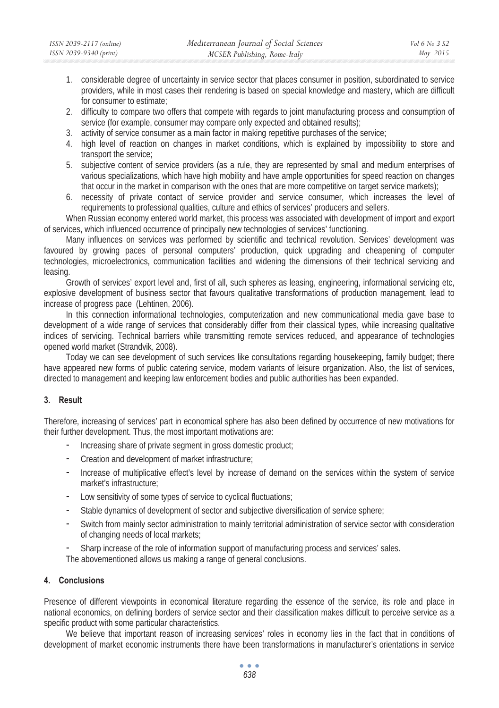- 1. considerable degree of uncertainty in service sector that places consumer in position, subordinated to service providers, while in most cases their rendering is based on special knowledge and mastery, which are difficult for consumer to estimate;
- 2. difficulty to compare two offers that compete with regards to joint manufacturing process and consumption of service (for example, consumer may compare only expected and obtained results);
- 3. activity of service consumer as a main factor in making repetitive purchases of the service;
- 4. high level of reaction on changes in market conditions, which is explained by impossibility to store and transport the service;
- 5. subjective content of service providers (as a rule, they are represented by small and medium enterprises of various specializations, which have high mobility and have ample opportunities for speed reaction on changes that occur in the market in comparison with the ones that are more competitive on target service markets);
- 6. necessity of private contact of service provider and service consumer, which increases the level of requirements to professional qualities, culture and ethics of services' producers and sellers.

When Russian economy entered world market, this process was associated with development of import and export of services, which influenced occurrence of principally new technologies of services' functioning.

Many influences on services was performed by scientific and technical revolution. Services' development was favoured by growing paces of personal computers' production, quick upgrading and cheapening of computer technologies, microelectronics, communication facilities and widening the dimensions of their technical servicing and leasing.

Growth of services' export level and, first of all, such spheres as leasing, engineering, informational servicing etc, explosive development of business sector that favours qualitative transformations of production management, lead to increase of progress pace (Lehtinen, 2006).

In this connection informational technologies, computerization and new communicational media gave base to development of a wide range of services that considerably differ from their classical types, while increasing qualitative indices of servicing. Technical barriers while transmitting remote services reduced, and appearance of technologies opened world market (Strandvik, 2008).

Today we can see development of such services like consultations regarding housekeeping, family budget; there have appeared new forms of public catering service, modern variants of leisure organization. Also, the list of services, directed to management and keeping law enforcement bodies and public authorities has been expanded.

## **3. Result**

Therefore, increasing of services' part in economical sphere has also been defined by occurrence of new motivations for their further development. Thus, the most important motivations are:

- Increasing share of private segment in gross domestic product;
- Creation and development of market infrastructure;
- Increase of multiplicative effect's level by increase of demand on the services within the system of service market's infrastructure;
- Low sensitivity of some types of service to cyclical fluctuations;
- Stable dynamics of development of sector and subjective diversification of service sphere;
- Switch from mainly sector administration to mainly territorial administration of service sector with consideration of changing needs of local markets;
- Sharp increase of the role of information support of manufacturing process and services' sales.

The abovementioned allows us making a range of general conclusions.

## **4. Conclusions**

Presence of different viewpoints in economical literature regarding the essence of the service, its role and place in national economics, on defining borders of service sector and their classification makes difficult to perceive service as a specific product with some particular characteristics.

We believe that important reason of increasing services' roles in economy lies in the fact that in conditions of development of market economic instruments there have been transformations in manufacturer's orientations in service